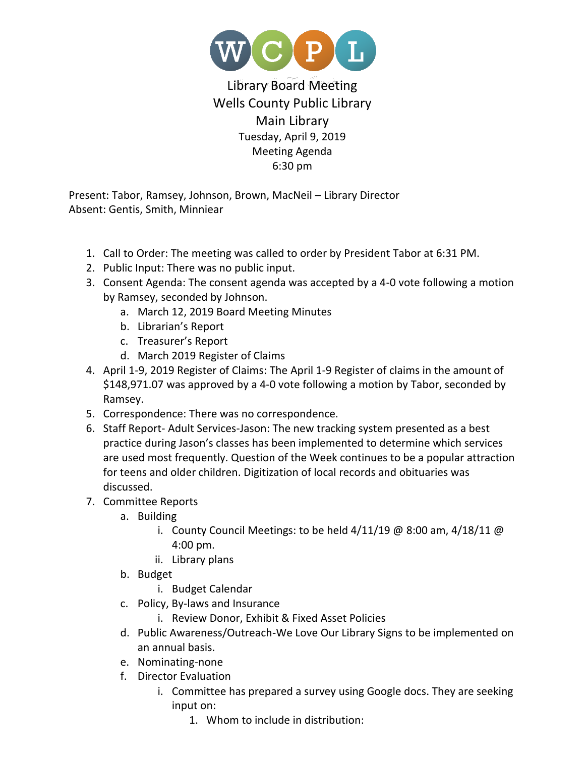

## Library Board Meeting Wells County Public Library Main Library Tuesday, April 9, 2019 Meeting Agenda 6:30 pm

Present: Tabor, Ramsey, Johnson, Brown, MacNeil – Library Director Absent: Gentis, Smith, Minniear

- 1. Call to Order: The meeting was called to order by President Tabor at 6:31 PM.
- 2. Public Input: There was no public input.
- 3. Consent Agenda: The consent agenda was accepted by a 4-0 vote following a motion by Ramsey, seconded by Johnson.
	- a. March 12, 2019 Board Meeting Minutes
	- b. Librarian's Report
	- c. Treasurer's Report
	- d. March 2019 Register of Claims
- 4. April 1-9, 2019 Register of Claims: The April 1-9 Register of claims in the amount of \$148,971.07 was approved by a 4-0 vote following a motion by Tabor, seconded by Ramsey.
- 5. Correspondence: There was no correspondence.
- 6. Staff Report- Adult Services-Jason: The new tracking system presented as a best practice during Jason's classes has been implemented to determine which services are used most frequently. Question of the Week continues to be a popular attraction for teens and older children. Digitization of local records and obituaries was discussed.
- 7. Committee Reports
	- a. Building
		- i. County Council Meetings: to be held  $4/11/19$  @ 8:00 am,  $4/18/11$  @ 4:00 pm.
		- ii. Library plans
	- b. Budget
		- i. Budget Calendar
	- c. Policy, By-laws and Insurance
		- i. Review Donor, Exhibit & Fixed Asset Policies
	- d. Public Awareness/Outreach-We Love Our Library Signs to be implemented on an annual basis.
	- e. Nominating-none
	- f. Director Evaluation
		- i. Committee has prepared a survey using Google docs. They are seeking input on:
			- 1. Whom to include in distribution: